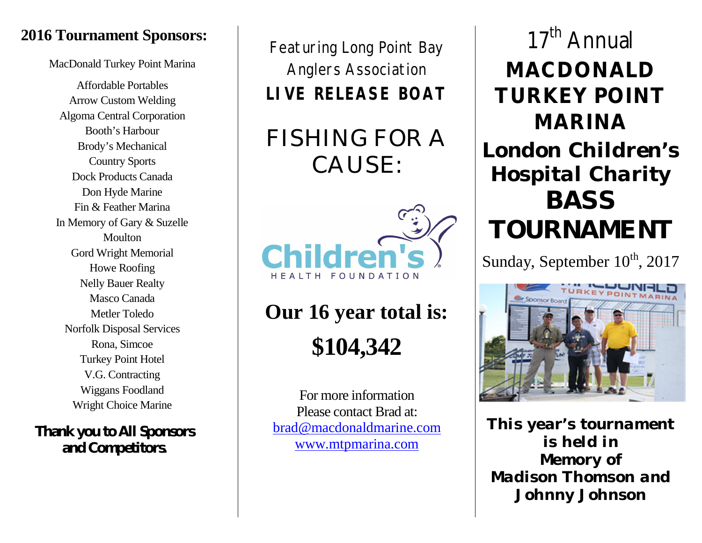### **2016 Tournament Sponsors:**

MacDonald Turkey Point Marina

Affordable Portables Arrow Custom Welding Algoma Central Corporation Booth's Harbour Brody's Mechanical Country Sports Dock Products Canada Don Hyde Marine Fin & Feather Marina In Memory of Gary & Suzelle **Moulton** Gord Wright Memorial Howe Roofing Nelly Bauer Realty Masco Canada Metler Toledo Norfolk Disposal Services Rona, Simcoe Turkey Point Hotel V.G. Contracting Wiggans Foodland Wright Choice Marine

### **Thank you to All Sponsors and Competitors.**

Featuring Long Point Bay Anglers Association **LIVE RELEASE BOAT**

FISHING FOR A CAUSE:



**Our 16 year total is: \$104,342**

For more information Please contact Brad at: brad@macdonaldmarine.com www.mtpmarina.com

## 17<sup>th</sup> Annual **MACDONALD TURKEY POINT MARINA** *London Children's Hospital Charity*

# *BASS TOURNAMENT*

Sunday, September  $10^{\text{th}}$ , 2017



*This year's tournament is held in Memory of Madison Thomson and Johnny Johnson*